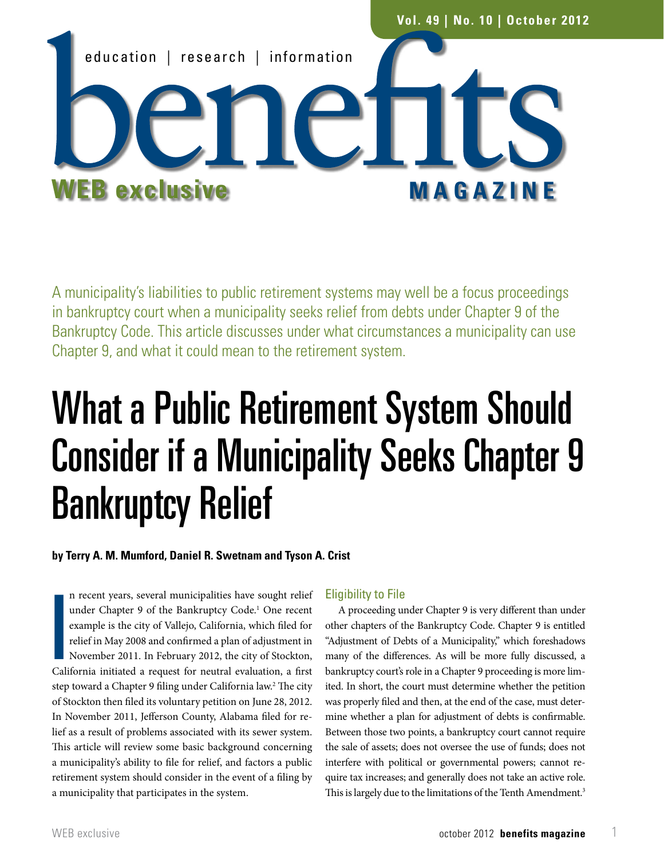

A municipality's liabilities to public retirement systems may well be a focus proceedings in bankruptcy court when a municipality seeks relief from debts under Chapter 9 of the Bankruptcy Code. This article discusses under what circumstances a municipality can use Chapter 9, and what it could mean to the retirement system.

# What a Public Retirement System Should Consider if a Municipality Seeks Chapter 9 Bankruptcy Relief

# **by Terry A. M. Mumford, Daniel R. Swetnam and Tyson A. Crist**

|<br>|<br>|<br>|<br>|<br>| n recent years, several municipalities have sought relief under Chapter 9 of the Bankruptcy Code.<sup>1</sup> One recent example is the city of Vallejo, California, which filed for relief in May 2008 and confirmed a plan of adjustment in November 2011. In February 2012, the city of Stockton, California initiated a request for neutral evaluation, a first step toward a Chapter 9 filing under California law.<sup>2</sup> The city of Stockton then filed its voluntary petition on June 28, 2012. In November 2011, Jefferson County, Alabama filed for relief as a result of problems associated with its sewer system. This article will review some basic background concerning a municipality's ability to file for relief, and factors a public retirement system should consider in the event of a filing by a municipality that participates in the system.

## Eligibility to File

A proceeding under Chapter 9 is very different than under other chapters of the Bankruptcy Code. Chapter 9 is entitled "Adjustment of Debts of a Municipality," which foreshadows many of the differences. As will be more fully discussed, a bankruptcy court's role in a Chapter 9 proceeding is more limited. In short, the court must determine whether the petition was properly filed and then, at the end of the case, must determine whether a plan for adjustment of debts is confirmable. Between those two points, a bankruptcy court cannot require the sale of assets; does not oversee the use of funds; does not interfere with political or governmental powers; cannot require tax increases; and generally does not take an active role. This is largely due to the limitations of the Tenth Amendment.<sup>3</sup>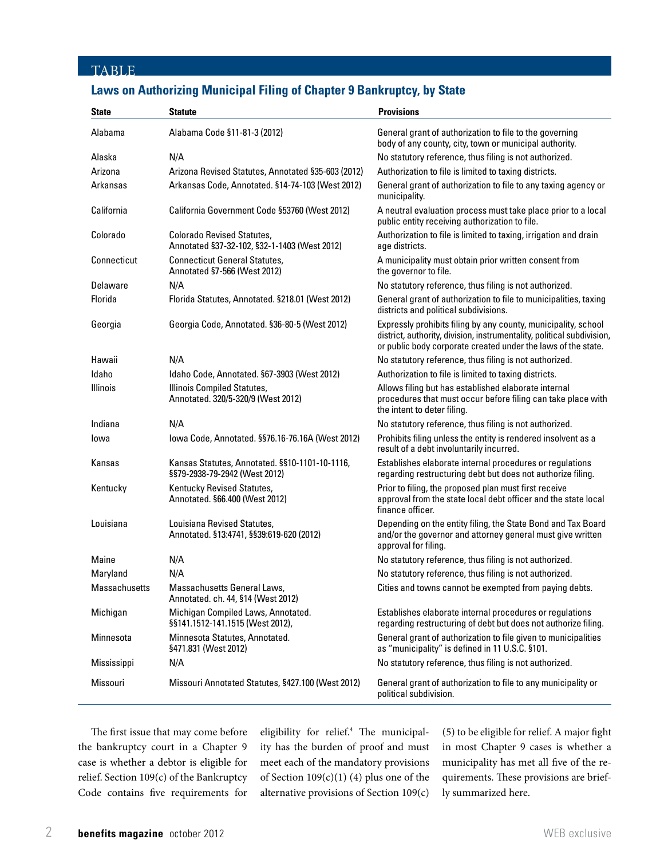# TABLE

# **Laws on Authorizing Municipal Filing of Chapter 9 Bankruptcy, by State**

| <b>State</b>    | <b>Statute</b>                                                                    | <b>Provisions</b>                                                                                                                                                                                         |
|-----------------|-----------------------------------------------------------------------------------|-----------------------------------------------------------------------------------------------------------------------------------------------------------------------------------------------------------|
| Alabama         | Alabama Code §11-81-3 (2012)                                                      | General grant of authorization to file to the governing<br>body of any county, city, town or municipal authority.                                                                                         |
| Alaska          | N/A                                                                               | No statutory reference, thus filing is not authorized.                                                                                                                                                    |
| Arizona         | Arizona Revised Statutes, Annotated §35-603 (2012)                                | Authorization to file is limited to taxing districts.                                                                                                                                                     |
| Arkansas        | Arkansas Code, Annotated. §14-74-103 (West 2012)                                  | General grant of authorization to file to any taxing agency or<br>municipality.                                                                                                                           |
| California      | California Government Code §53760 (West 2012)                                     | A neutral evaluation process must take place prior to a local<br>public entity receiving authorization to file.                                                                                           |
| Colorado        | <b>Colorado Revised Statutes.</b><br>Annotated §37-32-102, §32-1-1403 (West 2012) | Authorization to file is limited to taxing, irrigation and drain<br>age districts.                                                                                                                        |
| Connecticut     | <b>Connecticut General Statutes,</b><br>Annotated §7-566 (West 2012)              | A municipality must obtain prior written consent from<br>the governor to file.                                                                                                                            |
| Delaware        | N/A                                                                               | No statutory reference, thus filing is not authorized.                                                                                                                                                    |
| Florida         | Florida Statutes, Annotated. §218.01 (West 2012)                                  | General grant of authorization to file to municipalities, taxing<br>districts and political subdivisions.                                                                                                 |
| Georgia         | Georgia Code, Annotated. §36-80-5 (West 2012)                                     | Expressly prohibits filing by any county, municipality, school<br>district, authority, division, instrumentality, political subdivision,<br>or public body corporate created under the laws of the state. |
| Hawaii          | N/A                                                                               | No statutory reference, thus filing is not authorized.                                                                                                                                                    |
| Idaho           | Idaho Code, Annotated. §67-3903 (West 2012)                                       | Authorization to file is limited to taxing districts.                                                                                                                                                     |
| <b>Illinois</b> | Illinois Compiled Statutes,<br>Annotated. 320/5-320/9 (West 2012)                 | Allows filing but has established elaborate internal<br>procedures that must occur before filing can take place with<br>the intent to deter filing.                                                       |
| Indiana         | N/A                                                                               | No statutory reference, thus filing is not authorized.                                                                                                                                                    |
| lowa            | lowa Code, Annotated. §§76.16-76.16A (West 2012)                                  | Prohibits filing unless the entity is rendered insolvent as a<br>result of a debt involuntarily incurred.                                                                                                 |
| Kansas          | Kansas Statutes, Annotated. §§10-1101-10-1116,<br>§§79-2938-79-2942 (West 2012)   | Establishes elaborate internal procedures or regulations<br>regarding restructuring debt but does not authorize filing.                                                                                   |
| Kentucky        | Kentucky Revised Statutes,<br>Annotated. §66.400 (West 2012)                      | Prior to filing, the proposed plan must first receive<br>approval from the state local debt officer and the state local<br>finance officer.                                                               |
| Louisiana       | Louisiana Revised Statutes,<br>Annotated. §13:4741, §§39:619-620 (2012)           | Depending on the entity filing, the State Bond and Tax Board<br>and/or the governor and attorney general must give written<br>approval for filing.                                                        |
| Maine           | N/A                                                                               | No statutory reference, thus filing is not authorized.                                                                                                                                                    |
| Maryland        | N/A                                                                               | No statutory reference, thus filing is not authorized.                                                                                                                                                    |
| Massachusetts   | Massachusetts General Laws,<br>Annotated. ch. 44, §14 (West 2012)                 | Cities and towns cannot be exempted from paying debts.                                                                                                                                                    |
| Michigan        | Michigan Compiled Laws, Annotated.<br>§§141.1512-141.1515 (West 2012),            | Establishes elaborate internal procedures or regulations<br>regarding restructuring of debt but does not authorize filing.                                                                                |
| Minnesota       | Minnesota Statutes, Annotated.<br>§471.831 (West 2012)                            | General grant of authorization to file given to municipalities<br>as "municipality" is defined in 11 U.S.C. §101.                                                                                         |
| Mississippi     | N/A                                                                               | No statutory reference, thus filing is not authorized.                                                                                                                                                    |
| Missouri        | Missouri Annotated Statutes, §427.100 (West 2012)                                 | General grant of authorization to file to any municipality or<br>political subdivision.                                                                                                                   |

The first issue that may come before the bankruptcy court in a Chapter 9 case is whether a debtor is eligible for relief. Section 109(c) of the Bankruptcy Code contains five requirements for

eligibility for relief.4 The municipality has the burden of proof and must meet each of the mandatory provisions of Section  $109(c)(1)$  (4) plus one of the alternative provisions of Section 109(c)

(5) to be eligible for relief. A major fight in most Chapter 9 cases is whether a municipality has met all five of the requirements. These provisions are briefly summarized here.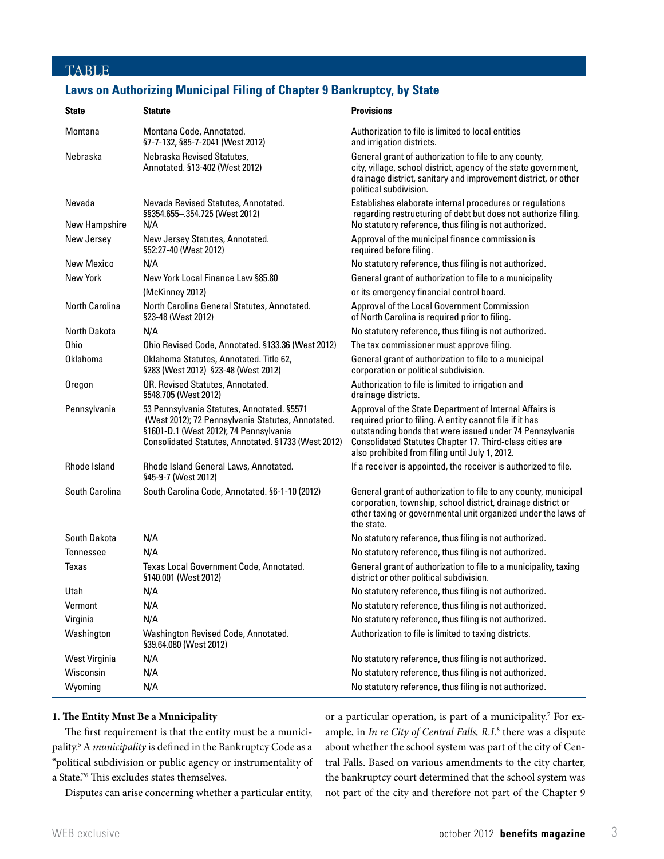## **TABLE**

# **Laws on Authorizing Municipal Filing of Chapter 9 Bankruptcy, by State**

| <b>State</b>            | <b>Statute</b>                                                                                                                                                                                   | <b>Provisions</b>                                                                                                                                                                                                                                                                              |
|-------------------------|--------------------------------------------------------------------------------------------------------------------------------------------------------------------------------------------------|------------------------------------------------------------------------------------------------------------------------------------------------------------------------------------------------------------------------------------------------------------------------------------------------|
| Montana                 | Montana Code, Annotated.<br>§7-7-132, §85-7-2041 (West 2012)                                                                                                                                     | Authorization to file is limited to local entities<br>and irrigation districts.                                                                                                                                                                                                                |
| Nebraska                | Nebraska Revised Statutes,<br>Annotated. §13-402 (West 2012)                                                                                                                                     | General grant of authorization to file to any county,<br>city, village, school district, agency of the state government,<br>drainage district, sanitary and improvement district, or other<br>political subdivision.                                                                           |
| Nevada<br>New Hampshire | Nevada Revised Statutes, Annotated.<br>§§354.655-.354.725 (West 2012)<br>N/A                                                                                                                     | Establishes elaborate internal procedures or regulations<br>regarding restructuring of debt but does not authorize filing.<br>No statutory reference, thus filing is not authorized.                                                                                                           |
| New Jersey              | New Jersey Statutes, Annotated.<br>§52:27-40 (West 2012)                                                                                                                                         | Approval of the municipal finance commission is<br>required before filing.                                                                                                                                                                                                                     |
| New Mexico              | N/A                                                                                                                                                                                              | No statutory reference, thus filing is not authorized.                                                                                                                                                                                                                                         |
| New York                | New York Local Finance Law §85.80                                                                                                                                                                | General grant of authorization to file to a municipality                                                                                                                                                                                                                                       |
|                         | (McKinney 2012)                                                                                                                                                                                  | or its emergency financial control board.                                                                                                                                                                                                                                                      |
| <b>North Carolina</b>   | North Carolina General Statutes, Annotated.<br>§23-48 (West 2012)                                                                                                                                | Approval of the Local Government Commission<br>of North Carolina is required prior to filing.                                                                                                                                                                                                  |
| North Dakota            | N/A                                                                                                                                                                                              | No statutory reference, thus filing is not authorized.                                                                                                                                                                                                                                         |
| <b>Ohio</b>             | Ohio Revised Code, Annotated. §133.36 (West 2012)                                                                                                                                                | The tax commissioner must approve filing.                                                                                                                                                                                                                                                      |
| Oklahoma                | Oklahoma Statutes, Annotated. Title 62,<br>§283 (West 2012) §23-48 (West 2012)                                                                                                                   | General grant of authorization to file to a municipal<br>corporation or political subdivision.                                                                                                                                                                                                 |
| Oregon                  | OR. Revised Statutes, Annotated.<br>§548.705 (West 2012)                                                                                                                                         | Authorization to file is limited to irrigation and<br>drainage districts.                                                                                                                                                                                                                      |
| Pennsylvania            | 53 Pennsylvania Statutes, Annotated. §5571<br>(West 2012); 72 Pennsylvania Statutes, Annotated.<br>§1601-D.1 (West 2012); 74 Pennsylvania<br>Consolidated Statutes, Annotated. §1733 (West 2012) | Approval of the State Department of Internal Affairs is<br>required prior to filing. A entity cannot file if it has<br>outstanding bonds that were issued under 74 Pennsylvania<br>Consolidated Statutes Chapter 17. Third-class cities are<br>also prohibited from filing until July 1, 2012. |
| <b>Rhode Island</b>     | Rhode Island General Laws, Annotated.<br>§45-9-7 (West 2012)                                                                                                                                     | If a receiver is appointed, the receiver is authorized to file.                                                                                                                                                                                                                                |
| <b>South Carolina</b>   | South Carolina Code, Annotated. §6-1-10 (2012)                                                                                                                                                   | General grant of authorization to file to any county, municipal<br>corporation, township, school district, drainage district or<br>other taxing or governmental unit organized under the laws of<br>the state.                                                                                 |
| South Dakota            | N/A                                                                                                                                                                                              | No statutory reference, thus filing is not authorized.                                                                                                                                                                                                                                         |
| Tennessee               | N/A                                                                                                                                                                                              | No statutory reference, thus filing is not authorized.                                                                                                                                                                                                                                         |
| Texas                   | Texas Local Government Code, Annotated.<br>§140.001 (West 2012)                                                                                                                                  | General grant of authorization to file to a municipality, taxing<br>district or other political subdivision.                                                                                                                                                                                   |
| Utah                    | N/A                                                                                                                                                                                              | No statutory reference, thus filing is not authorized.                                                                                                                                                                                                                                         |
| Vermont                 | N/A                                                                                                                                                                                              | No statutory reference, thus filing is not authorized.                                                                                                                                                                                                                                         |
| Virginia                | N/A                                                                                                                                                                                              | No statutory reference, thus filing is not authorized.                                                                                                                                                                                                                                         |
| Washington              | Washington Revised Code, Annotated.<br>§39.64.080 (West 2012)                                                                                                                                    | Authorization to file is limited to taxing districts.                                                                                                                                                                                                                                          |
| West Virginia           | N/A                                                                                                                                                                                              | No statutory reference, thus filing is not authorized.                                                                                                                                                                                                                                         |
| Wisconsin               | N/A                                                                                                                                                                                              | No statutory reference, thus filing is not authorized.                                                                                                                                                                                                                                         |
| Wyoming                 | N/A                                                                                                                                                                                              | No statutory reference, thus filing is not authorized.                                                                                                                                                                                                                                         |

## **1. The Entity Must Be a Municipality**

The first requirement is that the entity must be a municipality.5 A *municipality* is defined in the Bankruptcy Code as a "political subdivision or public agency or instrumentality of a State."6 This excludes states themselves.

Disputes can arise concerning whether a particular entity,

or a particular operation, is part of a municipality.<sup>7</sup> For example, in *In re City of Central Falls*, R.I.<sup>8</sup> there was a dispute about whether the school system was part of the city of Central Falls. Based on various amendments to the city charter, the bankruptcy court determined that the school system was not part of the city and therefore not part of the Chapter 9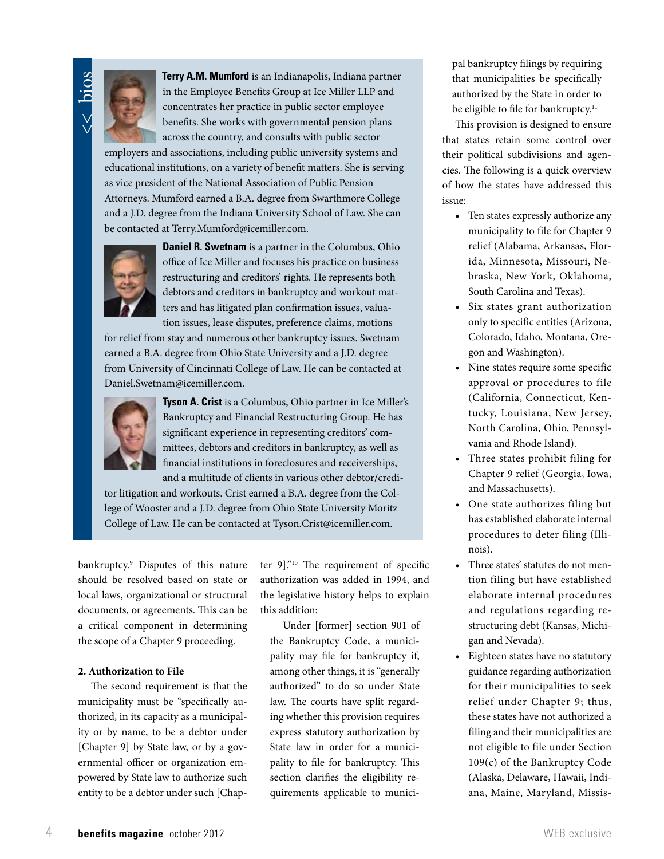<< bios



 **Terry A.M. Mumford** is an Indianapolis, Indiana partner in the Employee Benefits Group at Ice Miller LLP and concentrates her practice in public sector employee benefits. She works with governmental pension plans across the country, and consults with public sector

employers and associations, including public university systems and educational institutions, on a variety of benefit matters. She is serving as vice president of the National Association of Public Pension Attorneys. Mumford earned a B.A. degree from Swarthmore College and a J.D. degree from the Indiana University School of Law. She can be contacted at Terry.Mumford@icemiller.com.



**Daniel R. Swetnam** is a partner in the Columbus, Ohio office of Ice Miller and focuses his practice on business restructuring and creditors' rights. He represents both debtors and creditors in bankruptcy and workout matters and has litigated plan confirmation issues, valuation issues, lease disputes, preference claims, motions

for relief from stay and numerous other bankruptcy issues. Swetnam earned a B.A. degree from Ohio State University and a J.D. degree from University of Cincinnati College of Law. He can be contacted at Daniel.Swetnam@icemiller.com.



**Tyson A. Crist** is a Columbus, Ohio partner in Ice Miller's Bankruptcy and Financial Restructuring Group. He has significant experience in representing creditors' committees, debtors and creditors in bankruptcy, as well as financial institutions in foreclosures and receiverships, and a multitude of clients in various other debtor/credi-

tor litigation and workouts. Crist earned a B.A. degree from the College of Wooster and a J.D. degree from Ohio State University Moritz College of Law. He can be contacted at Tyson.Crist@icemiller.com.

bankruptcy.9 Disputes of this nature should be resolved based on state or local laws, organizational or structural documents, or agreements. This can be a critical component in determining the scope of a Chapter 9 proceeding.

### **2. Authorization to File**

The second requirement is that the municipality must be "specifically authorized, in its capacity as a municipality or by name, to be a debtor under [Chapter 9] by State law, or by a governmental officer or organization empowered by State law to authorize such entity to be a debtor under such [Chapter 9]."10 The requirement of specific authorization was added in 1994, and the legislative history helps to explain this addition:

Under [former] section 901 of the Bankruptcy Code, a municipality may file for bankruptcy if, among other things, it is "generally authorized" to do so under State law. The courts have split regarding whether this provision requires express statutory authorization by State law in order for a municipality to file for bankruptcy. This section clarifies the eligibility requirements applicable to municipal bankruptcy filings by requiring that municipalities be specifically authorized by the State in order to be eligible to file for bankruptcy.<sup>11</sup>

This provision is designed to ensure that states retain some control over their political subdivisions and agencies. The following is a quick overview of how the states have addressed this issue:

- • Ten states expressly authorize any municipality to file for Chapter 9 relief (Alabama, Arkansas, Florida, Minnesota, Missouri, Nebraska, New York, Oklahoma, South Carolina and Texas).
- Six states grant authorization only to specific entities (Arizona, Colorado, Idaho, Montana, Oregon and Washington).
- • Nine states require some specific approval or procedures to file (California, Connecticut, Kentucky, Louisiana, New Jersey, North Carolina, Ohio, Pennsylvania and Rhode Island).
- • Three states prohibit filing for Chapter 9 relief (Georgia, Iowa, and Massachusetts).
- One state authorizes filing but has established elaborate internal procedures to deter filing (Illinois).
- • Three states' statutes do not mention filing but have established elaborate internal procedures and regulations regarding restructuring debt (Kansas, Michigan and Nevada).
- • Eighteen states have no statutory guidance regarding authorization for their municipalities to seek relief under Chapter 9; thus, these states have not authorized a filing and their municipalities are not eligible to file under Section 109(c) of the Bankruptcy Code (Alaska, Delaware, Hawaii, Indiana, Maine, Maryland, Missis-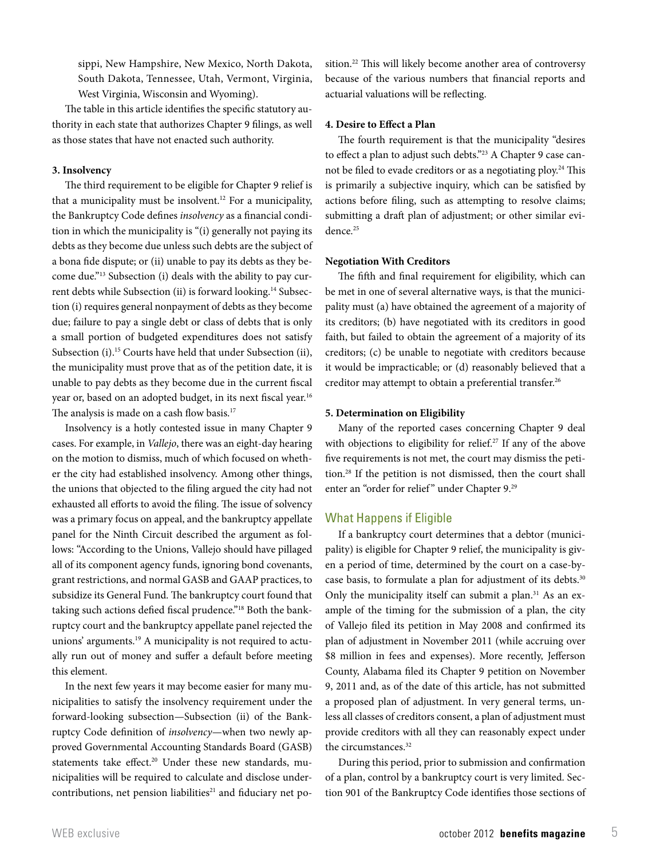sippi, New Hampshire, New Mexico, North Dakota, South Dakota, Tennessee, Utah, Vermont, Virginia, West Virginia, Wisconsin and Wyoming).

The table in this article identifies the specific statutory authority in each state that authorizes Chapter 9 filings, as well as those states that have not enacted such authority.

#### **3. Insolvency**

The third requirement to be eligible for Chapter 9 relief is that a municipality must be insolvent.<sup>12</sup> For a municipality, the Bankruptcy Code defines *insolvency* as a financial condition in which the municipality is "(i) generally not paying its debts as they become due unless such debts are the subject of a bona fide dispute; or (ii) unable to pay its debts as they become due."13 Subsection (i) deals with the ability to pay current debts while Subsection (ii) is forward looking.<sup>14</sup> Subsection (i) requires general nonpayment of debts as they become due; failure to pay a single debt or class of debts that is only a small portion of budgeted expenditures does not satisfy Subsection (i).<sup>15</sup> Courts have held that under Subsection (ii), the municipality must prove that as of the petition date, it is unable to pay debts as they become due in the current fiscal year or, based on an adopted budget, in its next fiscal year.<sup>16</sup> The analysis is made on a cash flow basis.<sup>17</sup>

Insolvency is a hotly contested issue in many Chapter 9 cases. For example, in *Vallejo*, there was an eight-day hearing on the motion to dismiss, much of which focused on whether the city had established insolvency. Among other things, the unions that objected to the filing argued the city had not exhausted all efforts to avoid the filing. The issue of solvency was a primary focus on appeal, and the bankruptcy appellate panel for the Ninth Circuit described the argument as follows: "According to the Unions, Vallejo should have pillaged all of its component agency funds, ignoring bond covenants, grant restrictions, and normal GASB and GAAP practices, to subsidize its General Fund. The bankruptcy court found that taking such actions defied fiscal prudence."<sup>18</sup> Both the bankruptcy court and the bankruptcy appellate panel rejected the unions' arguments.<sup>19</sup> A municipality is not required to actually run out of money and suffer a default before meeting this element.

In the next few years it may become easier for many municipalities to satisfy the insolvency requirement under the forward-looking subsection—Subsection (ii) of the Bankruptcy Code definition of *insolvency*—when two newly approved Governmental Accounting Standards Board (GASB) statements take effect.<sup>20</sup> Under these new standards, municipalities will be required to calculate and disclose undercontributions, net pension liabilities<sup>21</sup> and fiduciary net position.<sup>22</sup> This will likely become another area of controversy because of the various numbers that financial reports and actuarial valuations will be reflecting.

## **4. Desire to Effect a Plan**

The fourth requirement is that the municipality "desires to effect a plan to adjust such debts."<sup>23</sup> A Chapter 9 case cannot be filed to evade creditors or as a negotiating ploy.<sup>24</sup> This is primarily a subjective inquiry, which can be satisfied by actions before filing, such as attempting to resolve claims; submitting a draft plan of adjustment; or other similar evidence.<sup>25</sup>

#### **Negotiation With Creditors**

The fifth and final requirement for eligibility, which can be met in one of several alternative ways, is that the municipality must (a) have obtained the agreement of a majority of its creditors; (b) have negotiated with its creditors in good faith, but failed to obtain the agreement of a majority of its creditors; (c) be unable to negotiate with creditors because it would be impracticable; or (d) reasonably believed that a creditor may attempt to obtain a preferential transfer.<sup>26</sup>

#### **5. Determination on Eligibility**

Many of the reported cases concerning Chapter 9 deal with objections to eligibility for relief.<sup>27</sup> If any of the above five requirements is not met, the court may dismiss the petition.28 If the petition is not dismissed, then the court shall enter an "order for relief" under Chapter 9.<sup>29</sup>

## What Happens if Eligible

If a bankruptcy court determines that a debtor (municipality) is eligible for Chapter 9 relief, the municipality is given a period of time, determined by the court on a case-bycase basis, to formulate a plan for adjustment of its debts.<sup>30</sup> Only the municipality itself can submit a plan. $31$  As an example of the timing for the submission of a plan, the city of Vallejo filed its petition in May 2008 and confirmed its plan of adjustment in November 2011 (while accruing over \$8 million in fees and expenses). More recently, Jefferson County, Alabama filed its Chapter 9 petition on November 9, 2011 and, as of the date of this article, has not submitted a proposed plan of adjustment. In very general terms, unless all classes of creditors consent, a plan of adjustment must provide creditors with all they can reasonably expect under the circumstances.<sup>32</sup>

During this period, prior to submission and confirmation of a plan, control by a bankruptcy court is very limited. Section 901 of the Bankruptcy Code identifies those sections of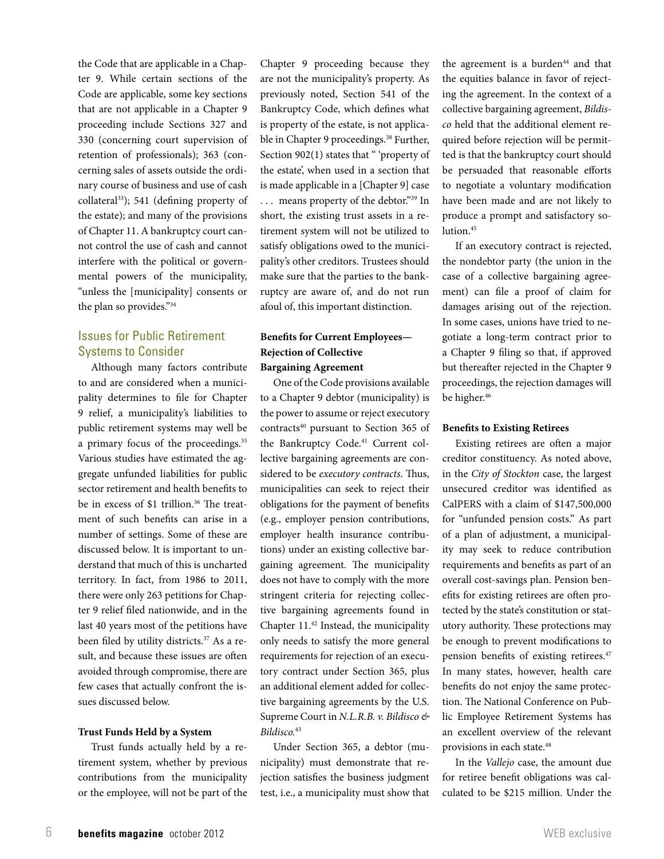the Code that are applicable in a Chapter 9. While certain sections of the Code are applicable, some key sections that are not applicable in a Chapter 9 proceeding include Sections 327 and 330 (concerning court supervision of retention of professionals); 363 (concerning sales of assets outside the ordinary course of business and use of cash collateral<sup>33</sup>); 541 (defining property of the estate); and many of the provisions of Chapter 11. A bankruptcy court cannot control the use of cash and cannot interfere with the political or governmental powers of the municipality, "unless the [municipality] consents or the plan so provides."34

# Issues for Public Retirement Systems to Consider

Although many factors contribute to and are considered when a municipality determines to file for Chapter 9 relief, a municipality's liabilities to public retirement systems may well be a primary focus of the proceedings.<sup>35</sup> Various studies have estimated the aggregate unfunded liabilities for public sector retirement and health benefits to be in excess of \$1 trillion.<sup>36</sup> The treatment of such benefits can arise in a number of settings. Some of these are discussed below. It is important to understand that much of this is uncharted territory. In fact, from 1986 to 2011, there were only 263 petitions for Chapter 9 relief filed nationwide, and in the last 40 years most of the petitions have been filed by utility districts.<sup>37</sup> As a result, and because these issues are often avoided through compromise, there are few cases that actually confront the issues discussed below.

## **Trust Funds Held by a System**

Trust funds actually held by a retirement system, whether by previous contributions from the municipality or the employee, will not be part of the Chapter 9 proceeding because they are not the municipality's property. As previously noted, Section 541 of the Bankruptcy Code, which defines what is property of the estate, is not applicable in Chapter 9 proceedings.<sup>38</sup> Further, Section 902(1) states that " 'property of the estate', when used in a section that is made applicable in a [Chapter 9] case . . . means property of the debtor."39 In short, the existing trust assets in a retirement system will not be utilized to satisfy obligations owed to the municipality's other creditors. Trustees should make sure that the parties to the bankruptcy are aware of, and do not run afoul of, this important distinction.

# **Benefits for Current Employees— Rejection of Collective Bargaining Agreement**

One of the Code provisions available to a Chapter 9 debtor (municipality) is the power to assume or reject executory contracts<sup>40</sup> pursuant to Section 365 of the Bankruptcy Code.<sup>41</sup> Current collective bargaining agreements are considered to be *executory contracts*. Thus, municipalities can seek to reject their obligations for the payment of benefits (e.g., employer pension contributions, employer health insurance contributions) under an existing collective bargaining agreement. The municipality does not have to comply with the more stringent criteria for rejecting collective bargaining agreements found in Chapter 11.42 Instead, the municipality only needs to satisfy the more general requirements for rejection of an executory contract under Section 365, plus an additional element added for collective bargaining agreements by the U.S. Supreme Court in *N.L.R.B. v. Bildisco & Bildisco.*<sup>43</sup>

Under Section 365, a debtor (municipality) must demonstrate that rejection satisfies the business judgment test, i.e., a municipality must show that

the agreement is a burden<sup>44</sup> and that the equities balance in favor of rejecting the agreement. In the context of a collective bargaining agreement, *Bildisco* held that the additional element required before rejection will be permitted is that the bankruptcy court should be persuaded that reasonable efforts to negotiate a voluntary modification have been made and are not likely to produce a prompt and satisfactory solution.<sup>45</sup>

If an executory contract is rejected, the nondebtor party (the union in the case of a collective bargaining agreement) can file a proof of claim for damages arising out of the rejection. In some cases, unions have tried to negotiate a long-term contract prior to a Chapter 9 filing so that, if approved but thereafter rejected in the Chapter 9 proceedings, the rejection damages will be higher.<sup>46</sup>

#### **Benefits to Existing Retirees**

Existing retirees are often a major creditor constituency. As noted above, in the *City of Stockton* case, the largest unsecured creditor was identified as CalPERS with a claim of \$147,500,000 for "unfunded pension costs." As part of a plan of adjustment, a municipality may seek to reduce contribution requirements and benefits as part of an overall cost-savings plan. Pension benefits for existing retirees are often protected by the state's constitution or statutory authority. These protections may be enough to prevent modifications to pension benefits of existing retirees.<sup>47</sup> In many states, however, health care benefits do not enjoy the same protection. The National Conference on Public Employee Retirement Systems has an excellent overview of the relevant provisions in each state.48

In the *Vallejo* case, the amount due for retiree benefit obligations was calculated to be \$215 million. Under the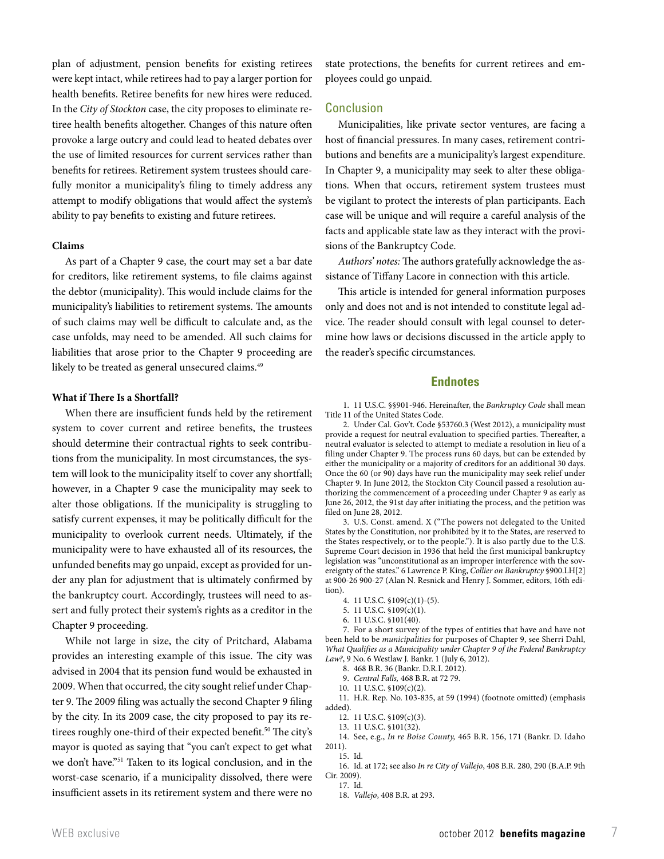plan of adjustment, pension benefits for existing retirees were kept intact, while retirees had to pay a larger portion for health benefits. Retiree benefits for new hires were reduced. In the *City of Stockton* case, the city proposes to eliminate retiree health benefits altogether. Changes of this nature often provoke a large outcry and could lead to heated debates over the use of limited resources for current services rather than benefits for retirees. Retirement system trustees should carefully monitor a municipality's filing to timely address any attempt to modify obligations that would affect the system's ability to pay benefits to existing and future retirees.

#### **Claims**

As part of a Chapter 9 case, the court may set a bar date for creditors, like retirement systems, to file claims against the debtor (municipality). This would include claims for the municipality's liabilities to retirement systems. The amounts of such claims may well be difficult to calculate and, as the case unfolds, may need to be amended. All such claims for liabilities that arose prior to the Chapter 9 proceeding are likely to be treated as general unsecured claims.<sup>49</sup>

#### **What if There Is a Shortfall?**

When there are insufficient funds held by the retirement system to cover current and retiree benefits, the trustees should determine their contractual rights to seek contributions from the municipality. In most circumstances, the system will look to the municipality itself to cover any shortfall; however, in a Chapter 9 case the municipality may seek to alter those obligations. If the municipality is struggling to satisfy current expenses, it may be politically difficult for the municipality to overlook current needs. Ultimately, if the municipality were to have exhausted all of its resources, the unfunded benefits may go unpaid, except as provided for under any plan for adjustment that is ultimately confirmed by the bankruptcy court. Accordingly, trustees will need to assert and fully protect their system's rights as a creditor in the Chapter 9 proceeding.

While not large in size, the city of Pritchard, Alabama provides an interesting example of this issue. The city was advised in 2004 that its pension fund would be exhausted in 2009. When that occurred, the city sought relief under Chapter 9. The 2009 filing was actually the second Chapter 9 filing by the city. In its 2009 case, the city proposed to pay its retirees roughly one-third of their expected benefit.<sup>50</sup> The city's mayor is quoted as saying that "you can't expect to get what we don't have."51 Taken to its logical conclusion, and in the worst-case scenario, if a municipality dissolved, there were insufficient assets in its retirement system and there were no

state protections, the benefits for current retirees and employees could go unpaid.

#### Conclusion

Municipalities, like private sector ventures, are facing a host of financial pressures. In many cases, retirement contributions and benefits are a municipality's largest expenditure. In Chapter 9, a municipality may seek to alter these obligations. When that occurs, retirement system trustees must be vigilant to protect the interests of plan participants. Each case will be unique and will require a careful analysis of the facts and applicable state law as they interact with the provisions of the Bankruptcy Code.

*Authors' notes:* The authors gratefully acknowledge the assistance of Tiffany Lacore in connection with this article.

This article is intended for general information purposes only and does not and is not intended to constitute legal advice. The reader should consult with legal counsel to determine how laws or decisions discussed in the article apply to the reader's specific circumstances.

#### **Endnotes**

1. 11 U.S.C. §§901-946. Hereinafter, the *Bankruptcy Code* shall mean Title 11 of the United States Code.

2. Under Cal. Gov't. Code §53760.3 (West 2012), a municipality must provide a request for neutral evaluation to specified parties. Thereafter, a neutral evaluator is selected to attempt to mediate a resolution in lieu of a filing under Chapter 9. The process runs 60 days, but can be extended by either the municipality or a majority of creditors for an additional 30 days. Once the 60 (or 90) days have run the municipality may seek relief under Chapter 9. In June 2012, the Stockton City Council passed a resolution authorizing the commencement of a proceeding under Chapter 9 as early as June 26, 2012, the 91st day after initiating the process, and the petition was filed on June 28, 2012.

3. U.S. Const. amend. X ("The powers not delegated to the United States by the Constitution, nor prohibited by it to the States, are reserved to the States respectively, or to the people."). It is also partly due to the U.S. Supreme Court decision in 1936 that held the first municipal bankruptcy legislation was "unconstitutional as an improper interference with the sovereignty of the states." 6 Lawrence P. King, *Collier on Bankruptcy* §900.LH[2] at 900-26 900-27 (Alan N. Resnick and Henry J. Sommer, editors, 16th edition).

- 4. 11 U.S.C. §109(c)(1)-(5).
- 5. 11 U.S.C. §109(c)(1).
- 6. 11 U.S.C. §101(40).

7. For a short survey of the types of entities that have and have not been held to be *municipalities* for purposes of Chapter 9, see Sherri Dahl, *What Qualifies as a Municipality under Chapter 9 of the Federal Bankruptcy Law?*, 9 No. 6 Westlaw J. Bankr. 1 (July 6, 2012).

- 8. 468 B.R. 36 (Bankr. D.R.I. 2012).
- 9. *Central Falls,* 468 B.R. at 72 79.
- 10. 11 U.S.C. §109(c)(2).

11. H.R. Rep. No. 103-835, at 59 (1994) (footnote omitted) (emphasis added).

- 12. 11 U.S.C. §109(c)(3).
- 13. 11 U.S.C. §101(32).

14. See, e.g., *In re Boise County,* 465 B.R. 156, 171 (Bankr. D. Idaho 2011).

15. Id.

16. Id. at 172; see also *In re City of Vallejo*, 408 B.R. 280, 290 (B.A.P. 9th Cir. 2009).

17. Id.

<sup>18.</sup> *Vallejo*, 408 B.R. at 293.